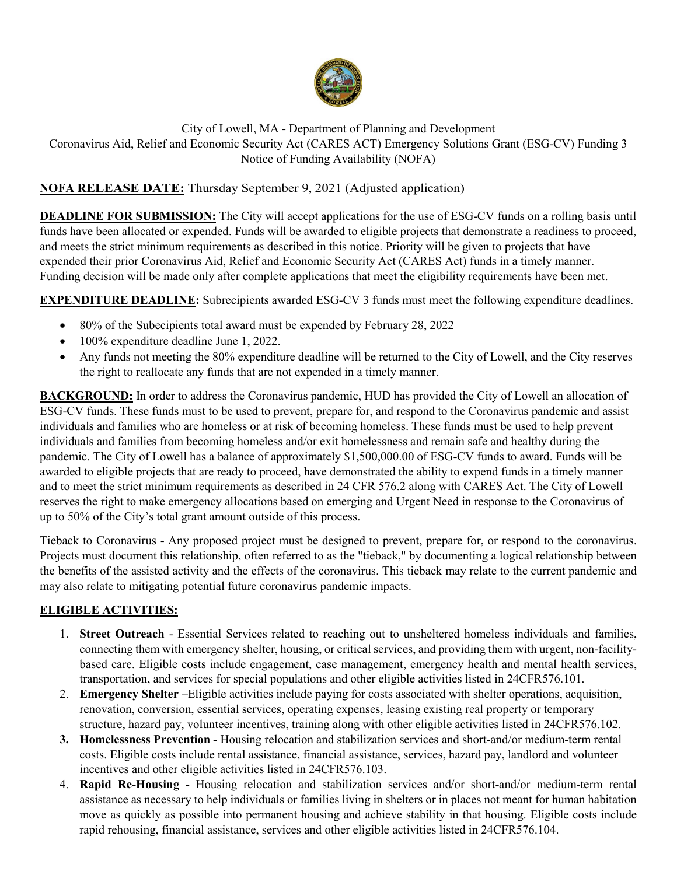

# City of Lowell, MA - Department of Planning and Development Coronavirus Aid, Relief and Economic Security Act (CARES ACT) Emergency Solutions Grant (ESG-CV) Funding 3 Notice of Funding Availability (NOFA)

# **NOFA RELEASE DATE:** Thursday September 9, 2021 (Adjusted application)

**DEADLINE FOR SUBMISSION:** The City will accept applications for the use of ESG-CV funds on a rolling basis until funds have been allocated or expended. Funds will be awarded to eligible projects that demonstrate a readiness to proceed, and meets the strict minimum requirements as described in this notice. Priority will be given to projects that have expended their prior Coronavirus Aid, Relief and Economic Security Act (CARES Act) funds in a timely manner. Funding decision will be made only after complete applications that meet the eligibility requirements have been met.

**EXPENDITURE DEADLINE:** Subrecipients awarded ESG-CV 3 funds must meet the following expenditure deadlines.

- 80% of the Subecipients total award must be expended by February 28, 2022
- 100% expenditure deadline June 1, 2022.
- Any funds not meeting the 80% expenditure deadline will be returned to the City of Lowell, and the City reserves the right to reallocate any funds that are not expended in a timely manner.

**BACKGROUND:** In order to address the Coronavirus pandemic, HUD has provided the City of Lowell an allocation of ESG-CV funds. These funds must to be used to prevent, prepare for, and respond to the Coronavirus pandemic and assist individuals and families who are homeless or at risk of becoming homeless. These funds must be used to help prevent individuals and families from becoming homeless and/or exit homelessness and remain safe and healthy during the pandemic. The City of Lowell has a balance of approximately \$1,500,000.00 of ESG-CV funds to award. Funds will be awarded to eligible projects that are ready to proceed, have demonstrated the ability to expend funds in a timely manner and to meet the strict minimum requirements as described in 24 CFR 576.2 along with CARES Act. The City of Lowell reserves the right to make emergency allocations based on emerging and Urgent Need in response to the Coronavirus of up to 50% of the City's total grant amount outside of this process.

Tieback to Coronavirus - Any proposed project must be designed to prevent, prepare for, or respond to the coronavirus. Projects must document this relationship, often referred to as the "tieback," by documenting a logical relationship between the benefits of the assisted activity and the effects of the coronavirus. This tieback may relate to the current pandemic and may also relate to mitigating potential future coronavirus pandemic impacts.

# **ELIGIBLE ACTIVITIES:**

- 1. **Street Outreach** Essential Services related to reaching out to unsheltered homeless individuals and families, connecting them with emergency shelter, housing, or critical services, and providing them with urgent, non-facilitybased care. Eligible costs include engagement, case management, emergency health and mental health services, transportation, and services for special populations and other eligible activities listed in 24CFR576.101.
- 2. **Emergency Shelter** –Eligible activities include paying for costs associated with shelter operations, acquisition, renovation, conversion, essential services, operating expenses, leasing existing real property or temporary structure, hazard pay, volunteer incentives, training along with other eligible activities listed in 24CFR576.102.
- **3. Homelessness Prevention** Housing relocation and stabilization services and short-and/or medium-term rental costs. Eligible costs include rental assistance, financial assistance, services, hazard pay, landlord and volunteer incentives and other eligible activities listed in 24CFR576.103.
- 4. **Rapid Re-Housing** Housing relocation and stabilization services and/or short-and/or medium-term rental assistance as necessary to help individuals or families living in shelters or in places not meant for human habitation move as quickly as possible into permanent housing and achieve stability in that housing. Eligible costs include rapid rehousing, financial assistance, services and other eligible activities listed in 24CFR576.104.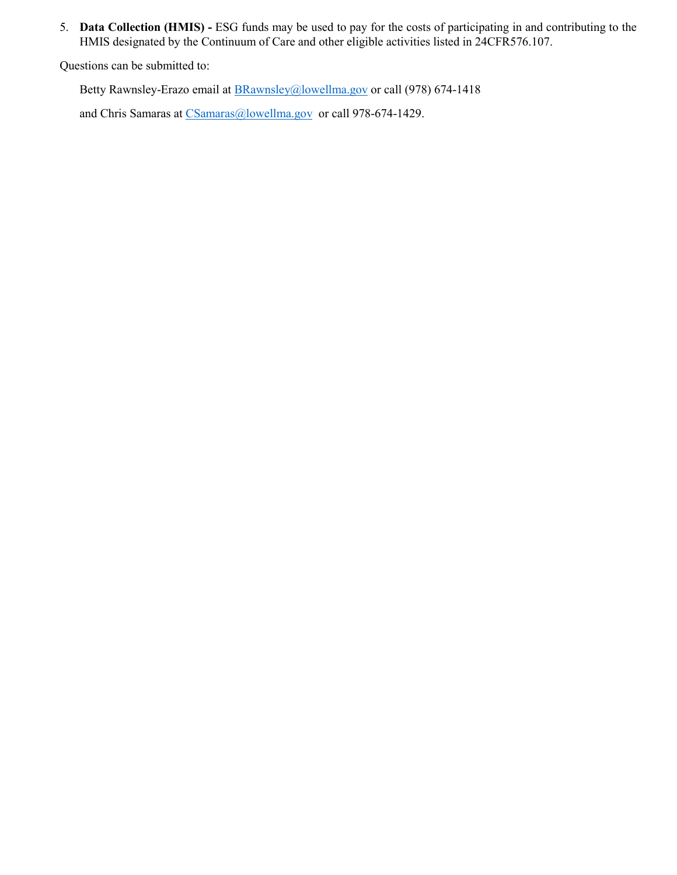5. **Data Collection (HMIS) -** ESG funds may be used to pay for the costs of participating in and contributing to the HMIS designated by the Continuum of Care and other eligible activities listed in 24CFR576.107.

Questions can be submitted to:

Betty Rawnsley-Erazo email at **BRawnsley@lowellma.gov** or call (978) 674-1418

and Chris Samaras at [CSamaras@lowellma.gov](mailto:CSamaras@lowellma.gov) or call 978-674-1429.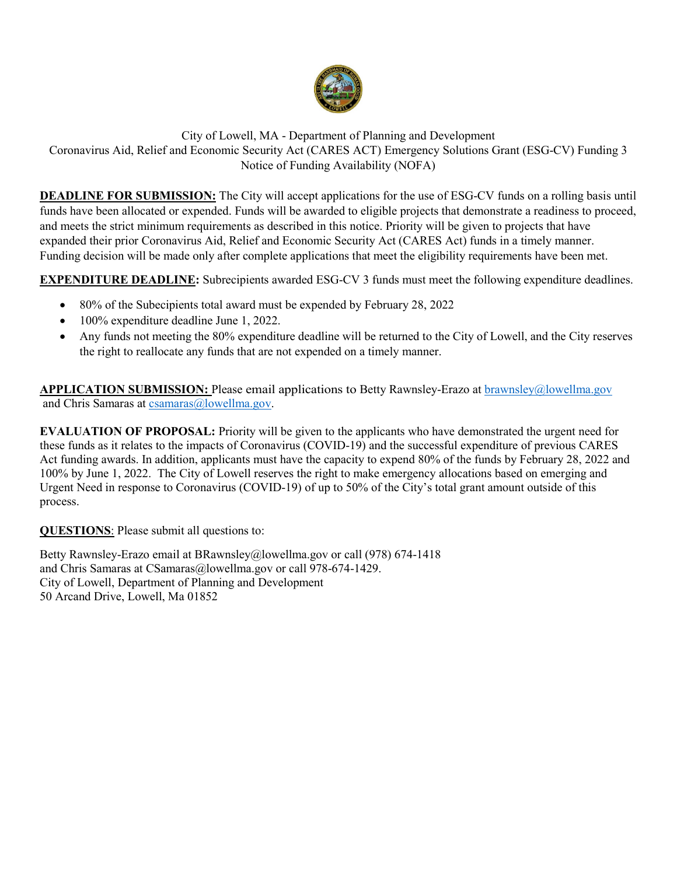

City of Lowell, MA - Department of Planning and Development Coronavirus Aid, Relief and Economic Security Act (CARES ACT) Emergency Solutions Grant (ESG-CV) Funding 3 Notice of Funding Availability (NOFA)

**DEADLINE FOR SUBMISSION:** The City will accept applications for the use of ESG-CV funds on a rolling basis until funds have been allocated or expended. Funds will be awarded to eligible projects that demonstrate a readiness to proceed, and meets the strict minimum requirements as described in this notice. Priority will be given to projects that have expanded their prior Coronavirus Aid, Relief and Economic Security Act (CARES Act) funds in a timely manner. Funding decision will be made only after complete applications that meet the eligibility requirements have been met.

**EXPENDITURE DEADLINE:** Subrecipients awarded ESG-CV 3 funds must meet the following expenditure deadlines.

- 80% of the Subecipients total award must be expended by February 28, 2022
- 100% expenditure deadline June 1, 2022.
- Any funds not meeting the 80% expenditure deadline will be returned to the City of Lowell, and the City reserves the right to reallocate any funds that are not expended on a timely manner.

**APPLICATION SUBMISSION:** Please email applications to Betty Rawnsley-Erazo at [brawnsley@lowellma.gov](mailto:brawnsley@lowellma.gov) and Chris Samaras at [csamaras@lowellma.gov.](mailto:csamaras@lowellma.gov)

**EVALUATION OF PROPOSAL:** Priority will be given to the applicants who have demonstrated the urgent need for these funds as it relates to the impacts of Coronavirus (COVID-19) and the successful expenditure of previous CARES Act funding awards. In addition, applicants must have the capacity to expend 80% of the funds by February 28, 2022 and 100% by June 1, 2022. The City of Lowell reserves the right to make emergency allocations based on emerging and Urgent Need in response to Coronavirus (COVID-19) of up to 50% of the City's total grant amount outside of this process.

**QUESTIONS**: Please submit all questions to:

Betty Rawnsley-Erazo email at [BRawnsley@lowellma.gov](mailto:BRawnsley@lowellma.gov) or call (978) 674-1418 and Chris Samaras at [CSamaras@lowellma.gov](mailto:CSamaras@lowellma.gov) or call 978-674-1429. City of Lowell, Department of Planning and Development 50 Arcand Drive, Lowell, Ma 01852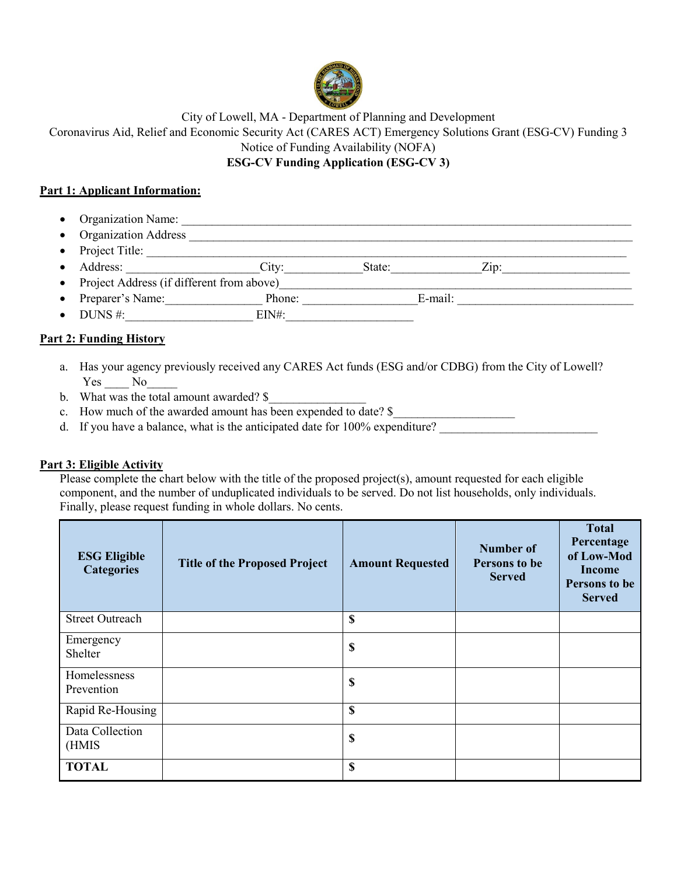

City of Lowell, MA - Department of Planning and Development Coronavirus Aid, Relief and Economic Security Act (CARES ACT) Emergency Solutions Grant (ESG-CV) Funding 3

Notice of Funding Availability (NOFA)

## **ESG-CV Funding Application (ESG-CV 3)**

#### **Part 1: Applicant Information:**

- Organization Name: \_\_\_\_\_\_\_\_\_\_\_\_\_\_\_\_\_\_\_\_\_\_\_\_\_\_\_\_\_\_\_\_\_\_\_\_\_\_\_\_\_\_\_\_\_\_\_\_\_\_\_\_\_\_\_\_\_\_\_\_\_\_\_\_\_\_\_\_\_\_\_\_\_\_
- Organization Address \_\_\_\_\_\_\_\_\_\_\_\_\_\_\_\_\_\_\_\_\_\_\_\_\_\_\_\_\_\_\_\_\_\_\_\_\_\_\_\_\_\_\_\_\_\_\_\_\_\_\_\_\_\_\_\_\_\_\_\_\_\_\_\_\_\_\_\_\_\_\_\_\_
- Project Title: \_\_\_\_\_\_\_\_\_\_\_\_\_\_\_\_\_\_\_\_\_\_\_\_\_\_\_\_\_\_\_\_\_\_\_\_\_\_\_\_\_\_\_\_\_\_\_\_\_\_\_\_\_\_\_\_\_\_\_\_\_\_\_\_\_\_\_\_\_\_\_\_\_\_\_\_\_\_\_
- Address: \_\_\_\_\_\_\_\_\_\_\_\_\_\_\_\_\_\_\_\_\_\_City:\_\_\_\_\_\_\_\_\_\_\_\_\_State:\_\_\_\_\_\_\_\_\_\_\_\_\_\_\_Zip:\_\_\_\_\_\_\_\_\_\_\_\_\_\_\_\_\_\_\_\_\_
- Project Address (if different from above)\_\_\_\_\_\_\_\_\_\_\_\_\_\_\_\_\_\_\_\_\_\_\_\_\_\_\_\_\_\_\_\_\_\_\_\_\_\_\_\_\_\_\_\_\_\_\_\_\_\_\_\_\_\_\_\_\_\_
- Preparer's Name: Phone: E-mail:
- DUNS #:\_\_\_\_\_\_\_\_\_\_\_\_\_\_\_\_\_\_\_\_\_ EIN#:\_\_\_\_\_\_\_\_\_\_\_\_\_\_\_\_\_\_\_\_\_

### **Part 2: Funding History**

- a. Has your agency previously received any CARES Act funds (ESG and/or CDBG) from the City of Lowell? Yes No
- b. What was the total amount awarded? \$
- c. How much of the awarded amount has been expended to date?  $\frac{1}{2}$
- d. If you have a balance, what is the anticipated date for  $100\%$  expenditure?

### **Part 3: Eligible Activity**

Please complete the chart below with the title of the proposed project(s), amount requested for each eligible component, and the number of unduplicated individuals to be served. Do not list households, only individuals. Finally, please request funding in whole dollars. No cents.

| <b>ESG Eligible</b><br><b>Categories</b> | <b>Title of the Proposed Project</b> | <b>Amount Requested</b> | <b>Number of</b><br>Persons to be<br><b>Served</b> | <b>Total</b><br>Percentage<br>of Low-Mod<br><b>Income</b><br>Persons to be<br><b>Served</b> |
|------------------------------------------|--------------------------------------|-------------------------|----------------------------------------------------|---------------------------------------------------------------------------------------------|
| <b>Street Outreach</b>                   |                                      | \$                      |                                                    |                                                                                             |
| Emergency<br>Shelter                     |                                      | \$                      |                                                    |                                                                                             |
| Homelessness<br>Prevention               |                                      | \$                      |                                                    |                                                                                             |
| Rapid Re-Housing                         |                                      | \$                      |                                                    |                                                                                             |
| Data Collection<br>(HMIS                 |                                      | \$                      |                                                    |                                                                                             |
| <b>TOTAL</b>                             |                                      | \$                      |                                                    |                                                                                             |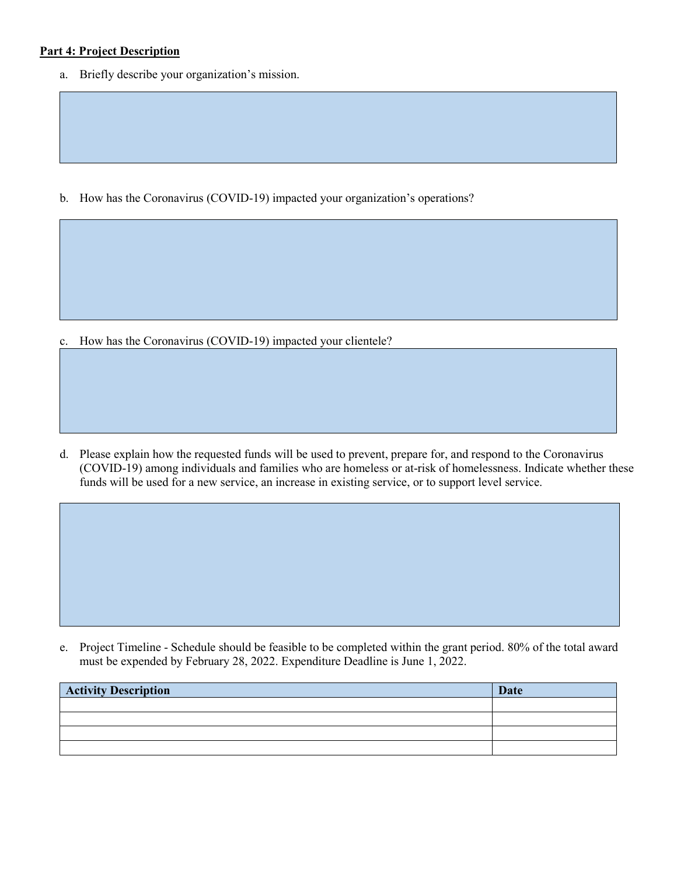#### **Part 4: Project Description**

a. Briefly describe your organization's mission.

b. How has the Coronavirus (COVID-19) impacted your organization's operations?

c. How has the Coronavirus (COVID-19) impacted your clientele?

d. Please explain how the requested funds will be used to prevent, prepare for, and respond to the Coronavirus (COVID-19) among individuals and families who are homeless or at-risk of homelessness. Indicate whether these funds will be used for a new service, an increase in existing service, or to support level service.

e. Project Timeline - Schedule should be feasible to be completed within the grant period. 80% of the total award must be expended by February 28, 2022. Expenditure Deadline is June 1, 2022.

| <b>Activity Description</b> | <b>Date</b> |
|-----------------------------|-------------|
|                             |             |
|                             |             |
|                             |             |
|                             |             |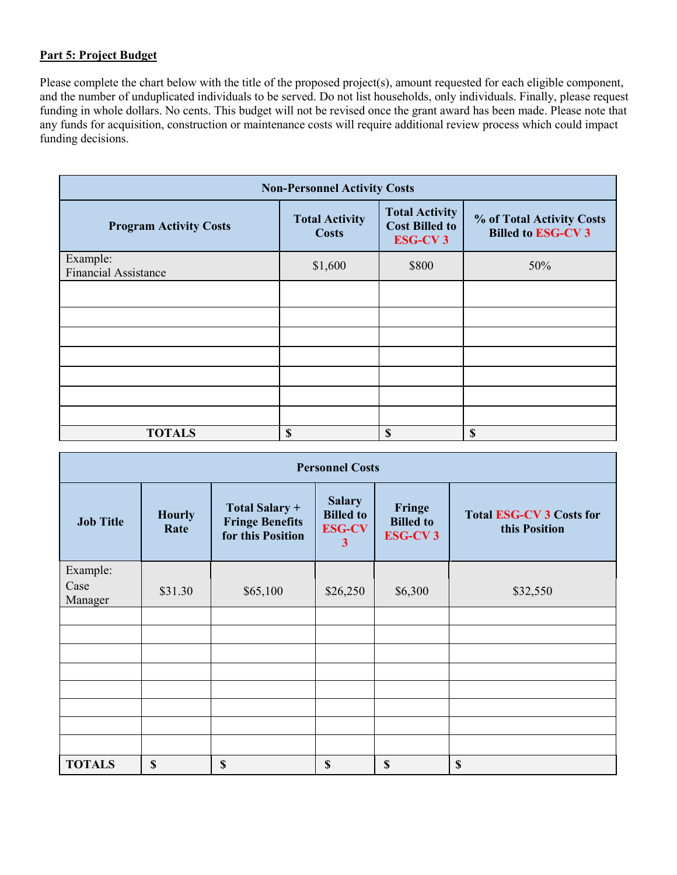## **Part 5: Project Budget**

Please complete the chart below with the title of the proposed project(s), amount requested for each eligible component, and the number of unduplicated individuals to be served. Do not list households, only individuals. Finally, please request funding in whole dollars. No cents. This budget will not be revised once the grant award has been made. Please note that any funds for acquisition, construction or maintenance costs will require additional review process which could impact funding decisions.

| <b>Non-Personnel Activity Costs</b>     |                                       |                                                                  |                                                       |  |
|-----------------------------------------|---------------------------------------|------------------------------------------------------------------|-------------------------------------------------------|--|
| <b>Program Activity Costs</b>           | <b>Total Activity</b><br><b>Costs</b> | <b>Total Activity</b><br><b>Cost Billed to</b><br><b>ESG-CV3</b> | % of Total Activity Costs<br><b>Billed to ESG-CV3</b> |  |
| Example:<br><b>Financial Assistance</b> | \$1,600                               | \$800                                                            | 50%                                                   |  |
|                                         |                                       |                                                                  |                                                       |  |
|                                         |                                       |                                                                  |                                                       |  |
|                                         |                                       |                                                                  |                                                       |  |
|                                         |                                       |                                                                  |                                                       |  |
|                                         |                                       |                                                                  |                                                       |  |
|                                         |                                       |                                                                  |                                                       |  |
|                                         |                                       |                                                                  |                                                       |  |
| <b>TOTALS</b>                           | S                                     | \$                                                               | \$                                                    |  |

| <b>Personnel Costs</b>      |                       |                                                               |                                                                               |                                              |                                                  |
|-----------------------------|-----------------------|---------------------------------------------------------------|-------------------------------------------------------------------------------|----------------------------------------------|--------------------------------------------------|
| <b>Job Title</b>            | <b>Hourly</b><br>Rate | Total Salary +<br><b>Fringe Benefits</b><br>for this Position | <b>Salary</b><br><b>Billed</b> to<br><b>ESG-CV</b><br>$\overline{\mathbf{3}}$ | Fringe<br><b>Billed</b> to<br><b>ESG-CV3</b> | <b>Total ESG-CV 3 Costs for</b><br>this Position |
| Example:<br>Case<br>Manager | \$31.30               | \$65,100                                                      | \$26,250                                                                      | \$6,300                                      | \$32,550                                         |
|                             |                       |                                                               |                                                                               |                                              |                                                  |
|                             |                       |                                                               |                                                                               |                                              |                                                  |
|                             |                       |                                                               |                                                                               |                                              |                                                  |
|                             |                       |                                                               |                                                                               |                                              |                                                  |
|                             |                       |                                                               |                                                                               |                                              |                                                  |
|                             |                       |                                                               |                                                                               |                                              |                                                  |
|                             |                       |                                                               |                                                                               |                                              |                                                  |
|                             |                       |                                                               |                                                                               |                                              |                                                  |
| <b>TOTALS</b>               | \$                    | \$                                                            | \$                                                                            | \$                                           | \$                                               |